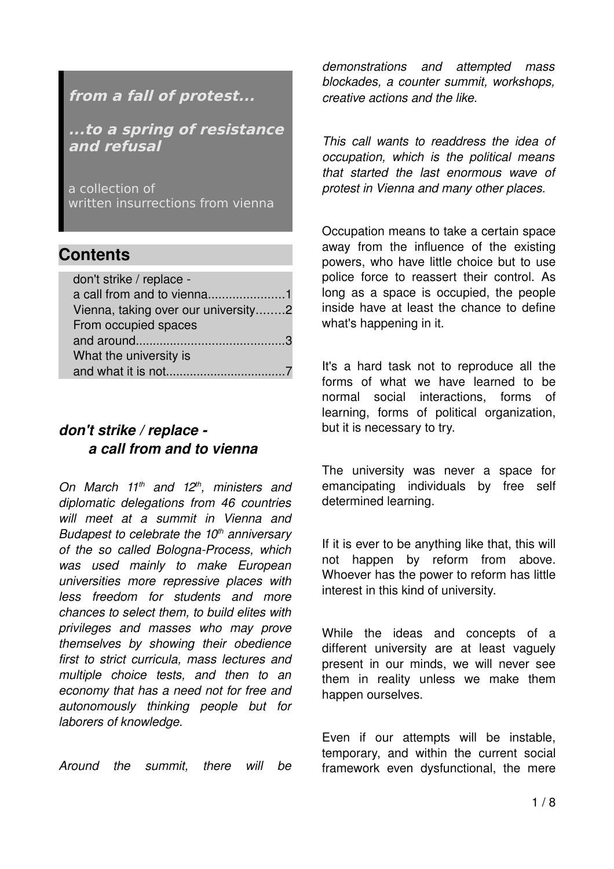# **from a fall of protest...**

**...to a spring of resistance and refusal**

a collection of written insurrections from vienna

# **Contents**

| don't strike / replace -            |  |
|-------------------------------------|--|
|                                     |  |
| Vienna, taking over our university2 |  |
| From occupied spaces                |  |
|                                     |  |
| What the university is              |  |
|                                     |  |

### *don't strike / replace a call from and to vienna*

*On March 11th and 12th, ministers and diplomatic delegations from 46 countries will meet at a summit in Vienna and Budapest to celebrate the 10th anniversary* of the so called Bologna-Process, which *was used mainly to make European universities more repressive places with less freedom for students and more chances to select them, to build elites with privileges and masses who may prove themselves by showing their obedience first to strict curricula, mass lectures and multiple choice tests, and then to an economy that has a need not for free and autonomously thinking people but for laborers of knowledge.*

*Around the summit, there will be*

*demonstrations and attempted mass blockades, a counter summit, workshops, creative actions and the like.*

*This call wants to readdress the idea of occupation, which is the political means that started the last enormous wave of protest in Vienna and many other places.*

Occupation means to take a certain space away from the influence of the existing powers, who have little choice but to use police force to reassert their control. As long as a space is occupied, the people inside have at least the chance to define what's happening in it.

It's a hard task not to reproduce all the forms of what we have learned to be normal social interactions, forms of learning, forms of political organization, but it is necessary to try.

The university was never a space for emancipating individuals by free self determined learning.

If it is ever to be anything like that, this will not happen by reform from above. Whoever has the power to reform has little interest in this kind of university.

While the ideas and concepts of a different university are at least vaguely present in our minds, we will never see them in reality unless we make them happen ourselves.

Even if our attempts will be instable, temporary, and within the current social framework even dysfunctional, the mere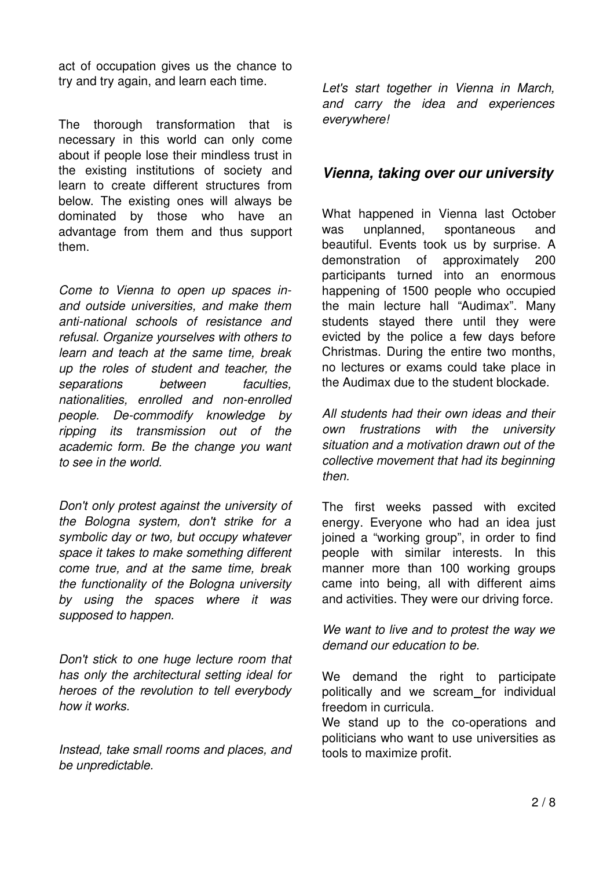act of occupation gives us the chance to try and try again, and learn each time.

The thorough transformation that is necessary in this world can only come about if people lose their mindless trust in the existing institutions of society and learn to create different structures from below. The existing ones will always be dominated by those who have an advantage from them and thus support them.

*Come to Vienna to open up spaces inand outside universities, and make them antinational schools of resistance and refusal. Organize yourselves with others to learn and teach at the same time, break up the roles of student and teacher, the separations between faculties, nationalities, enrolled and nonenrolled people. Decommodify knowledge by ripping its transmission out of the academic form. Be the change you want to see in the world.*

*Don't only protest against the university of the Bologna system, don't strike for a symbolic day or two, but occupy whatever space it takes to make something different come true, and at the same time, break the functionality of the Bologna university by using the spaces where it was supposed to happen.*

*Don't stick to one huge lecture room that has only the architectural setting ideal for heroes of the revolution to tell everybody how it works.*

*Instead, take small rooms and places, and be unpredictable.*

*Let's start together in Vienna in March, and carry the idea and experiences everywhere!*

### *Vienna, taking over our university*

What happened in Vienna last October was unplanned, spontaneous and beautiful. Events took us by surprise. A demonstration of approximately 200 participants turned into an enormous happening of 1500 people who occupied the main lecture hall "Audimax". Many students stayed there until they were evicted by the police a few days before Christmas. During the entire two months, no lectures or exams could take place in the Audimax due to the student blockade.

*All students had their own ideas and their own frustrations with the university situation and a motivation drawn out of the collective movement that had its beginning then.*

The first weeks passed with excited energy. Everyone who had an idea just joined a "working group", in order to find people with similar interests. In this manner more than 100 working groups came into being, all with different aims and activities. They were our driving force.

*We want to live and to protest the way we demand our education to be.* 

We demand the right to participate politically and we scream for individual freedom in curricula.

We stand up to the co-operations and politicians who want to use universities as tools to maximize profit.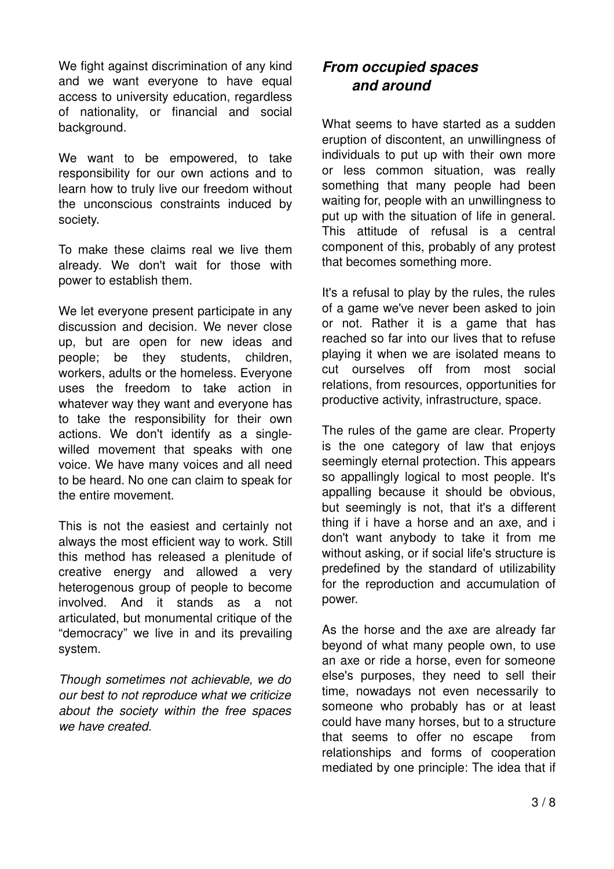We fight against discrimination of any kind and we want everyone to have equal access to university education, regardless of nationality, or financial and social background.

We want to be empowered, to take responsibility for our own actions and to learn how to truly live our freedom without the unconscious constraints induced by society.

To make these claims real we live them already. We don't wait for those with power to establish them.

We let everyone present participate in any discussion and decision. We never close up, but are open for new ideas and people; be they students, children, workers, adults or the homeless. Everyone uses the freedom to take action in whatever way they want and everyone has to take the responsibility for their own actions. We don't identify as a singlewilled movement that speaks with one voice. We have many voices and all need to be heard. No one can claim to speak for the entire movement.

This is not the easiest and certainly not always the most efficient way to work. Still this method has released a plenitude of creative energy and allowed a very heterogenous group of people to become involved. And it stands as a not articulated, but monumental critique of the "democracy" we live in and its prevailing system.

*Though sometimes not achievable, we do our best to not reproduce what we criticize about the society within the free spaces we have created.*

# *From occupied spaces and around*

What seems to have started as a sudden eruption of discontent, an unwillingness of individuals to put up with their own more or less common situation, was really something that many people had been waiting for, people with an unwillingness to put up with the situation of life in general. This attitude of refusal is a central component of this, probably of any protest that becomes something more.

It's a refusal to play by the rules, the rules of a game we've never been asked to join or not. Rather it is a game that has reached so far into our lives that to refuse playing it when we are isolated means to cut ourselves off from most social relations, from resources, opportunities for productive activity, infrastructure, space.

The rules of the game are clear. Property is the one category of law that enjoys seemingly eternal protection. This appears so appallingly logical to most people. It's appalling because it should be obvious. but seemingly is not, that it's a different thing if i have a horse and an axe, and i don't want anybody to take it from me without asking, or if social life's structure is predefined by the standard of utilizability for the reproduction and accumulation of power.

As the horse and the axe are already far beyond of what many people own, to use an axe or ride a horse, even for someone else's purposes, they need to sell their time, nowadays not even necessarily to someone who probably has or at least could have many horses, but to a structure that seems to offer no escape from relationships and forms of cooperation mediated by one principle: The idea that if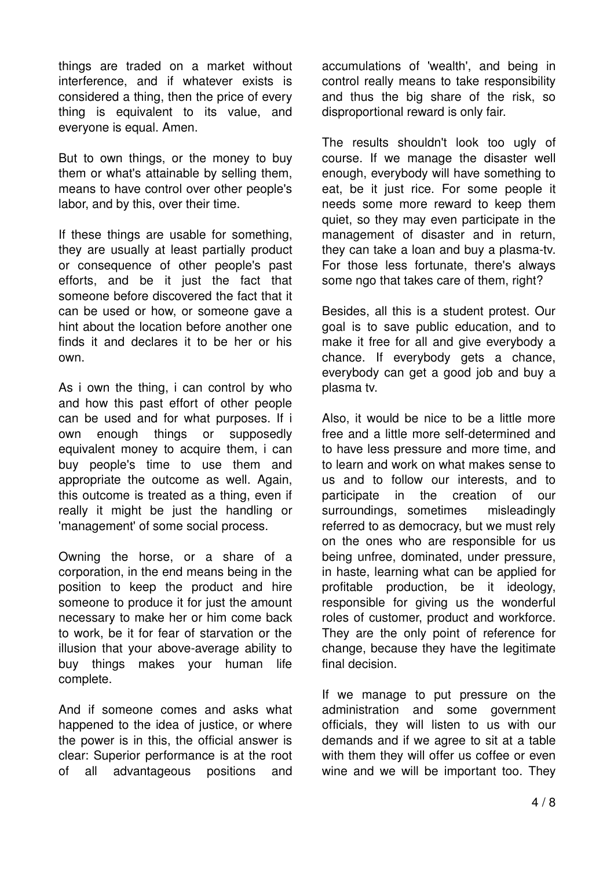things are traded on a market without interference, and if whatever exists is considered a thing, then the price of every thing is equivalent to its value, and everyone is equal. Amen.

But to own things, or the money to buy them or what's attainable by selling them, means to have control over other people's labor, and by this, over their time.

If these things are usable for something, they are usually at least partially product or consequence of other people's past efforts, and be it just the fact that someone before discovered the fact that it can be used or how, or someone gave a hint about the location before another one finds it and declares it to be her or his own.

As i own the thing, i can control by who and how this past effort of other people can be used and for what purposes. If i own enough things or supposedly equivalent money to acquire them, i can buy people's time to use them and appropriate the outcome as well. Again, this outcome is treated as a thing, even if really it might be just the handling or 'management' of some social process.

Owning the horse, or a share of a corporation, in the end means being in the position to keep the product and hire someone to produce it for just the amount necessary to make her or him come back to work, be it for fear of starvation or the illusion that your above-average ability to buy things makes your human life complete.

And if someone comes and asks what happened to the idea of justice, or where the power is in this, the official answer is clear: Superior performance is at the root of all advantageous positions and accumulations of 'wealth', and being in control really means to take responsibility and thus the big share of the risk, so disproportional reward is only fair.

The results shouldn't look too ugly of course. If we manage the disaster well enough, everybody will have something to eat, be it iust rice. For some people it needs some more reward to keep them quiet, so they may even participate in the management of disaster and in return, they can take a loan and buy a plasma-tv. For those less fortunate, there's always some ngo that takes care of them, right?

Besides, all this is a student protest. Our goal is to save public education, and to make it free for all and give everybody a chance. If everybody gets a chance, everybody can get a good job and buy a plasma tv.

Also, it would be nice to be a little more free and a little more self-determined and to have less pressure and more time, and to learn and work on what makes sense to us and to follow our interests, and to participate in the creation of our surroundings, sometimes misleadingly referred to as democracy, but we must rely on the ones who are responsible for us being unfree, dominated, under pressure, in haste, learning what can be applied for profitable production, be it ideology, responsible for giving us the wonderful roles of customer, product and workforce. They are the only point of reference for change, because they have the legitimate final decision.

If we manage to put pressure on the administration and some government officials, they will listen to us with our demands and if we agree to sit at a table with them they will offer us coffee or even wine and we will be important too. They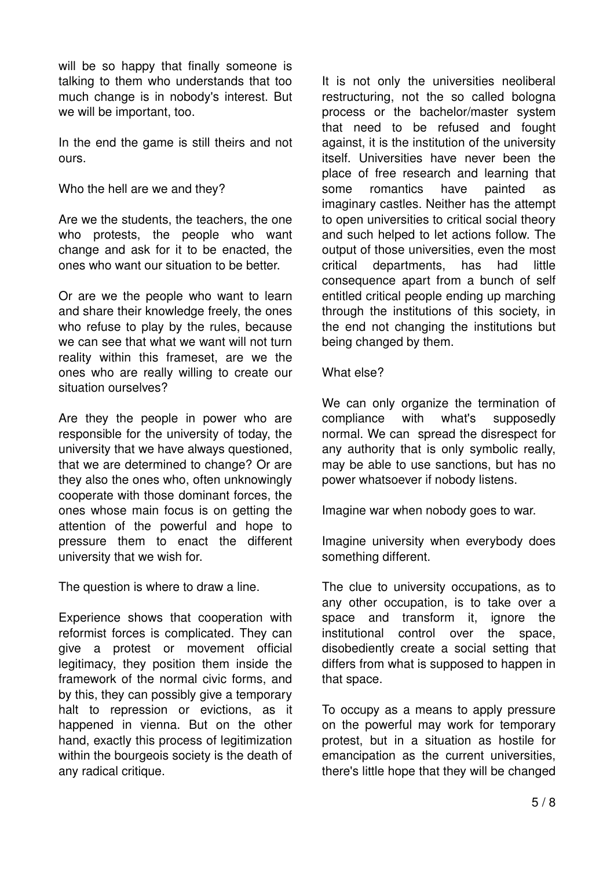will be so happy that finally someone is talking to them who understands that too much change is in nobody's interest. But we will be important, too.

In the end the game is still theirs and not ours.

Who the hell are we and they?

Are we the students, the teachers, the one who protests, the people who want change and ask for it to be enacted, the ones who want our situation to be better.

Or are we the people who want to learn and share their knowledge freely, the ones who refuse to play by the rules, because we can see that what we want will not turn reality within this frameset, are we the ones who are really willing to create our situation ourselves?

Are they the people in power who are responsible for the university of today, the university that we have always questioned, that we are determined to change? Or are they also the ones who, often unknowingly cooperate with those dominant forces, the ones whose main focus is on getting the attention of the powerful and hope to pressure them to enact the different university that we wish for.

The question is where to draw a line.

Experience shows that cooperation with reformist forces is complicated. They can give a protest or movement official legitimacy, they position them inside the framework of the normal civic forms, and by this, they can possibly give a temporary halt to repression or evictions, as it happened in vienna. But on the other hand, exactly this process of legitimization within the bourgeois society is the death of any radical critique.

It is not only the universities neoliberal restructuring, not the so called bologna process or the bachelor/master system that need to be refused and fought against, it is the institution of the university itself. Universities have never been the place of free research and learning that some romantics have painted as imaginary castles. Neither has the attempt to open universities to critical social theory and such helped to let actions follow. The output of those universities, even the most critical departments, has had little consequence apart from a bunch of self entitled critical people ending up marching through the institutions of this society, in the end not changing the institutions but being changed by them.

#### What else?

We can only organize the termination of compliance with what's supposedly normal. We can spread the disrespect for any authority that is only symbolic really, may be able to use sanctions, but has no power whatsoever if nobody listens.

Imagine war when nobody goes to war.

Imagine university when everybody does something different.

The clue to university occupations, as to any other occupation, is to take over a space and transform it, ignore the institutional control over the space, disobediently create a social setting that differs from what is supposed to happen in that space.

To occupy as a means to apply pressure on the powerful may work for temporary protest, but in a situation as hostile for emancipation as the current universities, there's little hope that they will be changed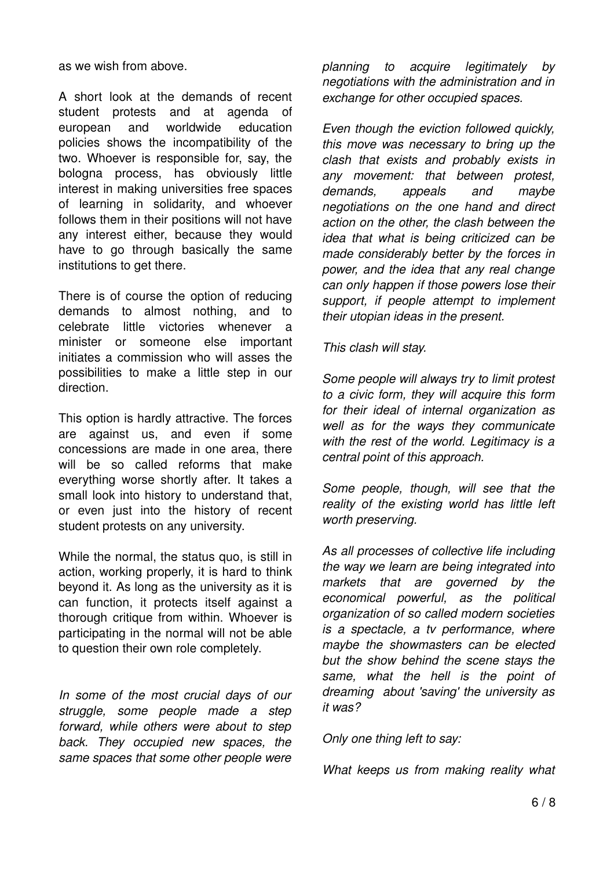as we wish from above.

A short look at the demands of recent student protests and at agenda of european and worldwide education policies shows the incompatibility of the two. Whoever is responsible for, say, the bologna process, has obviously little interest in making universities free spaces of learning in solidarity, and whoever follows them in their positions will not have any interest either, because they would have to go through basically the same institutions to get there.

There is of course the option of reducing demands to almost nothing, and to celebrate little victories whenever a minister or someone else important initiates a commission who will asses the possibilities to make a little step in our direction.

This option is hardly attractive. The forces are against us, and even if some concessions are made in one area, there will be so called reforms that make everything worse shortly after. It takes a small look into history to understand that, or even just into the history of recent student protests on any university.

While the normal, the status quo, is still in action, working properly, it is hard to think beyond it. As long as the university as it is can function, it protects itself against a thorough critique from within. Whoever is participating in the normal will not be able to question their own role completely.

*In some of the most crucial days of our struggle, some people made a step forward, while others were about to step back. They occupied new spaces, the same spaces that some other people were* *planning to acquire legitimately by negotiations with the administration and in exchange for other occupied spaces.*

*Even though the eviction followed quickly, this move was necessary to bring up the clash that exists and probably exists in any movement: that between protest, demands, appeals and maybe negotiations on the one hand and direct action on the other, the clash between the idea that what is being criticized can be made considerably better by the forces in power, and the idea that any real change can only happen if those powers lose their support, if people attempt to implement their utopian ideas in the present.*

*This clash will stay.*

*Some people will always try to limit protest to a civic form, they will acquire this form for their ideal of internal organization as well as for the ways they communicate with the rest of the world. Legitimacy is a central point of this approach.*

*Some people, though, will see that the reality of the existing world has little left worth preserving.*

*As all processes of collective life including the way we learn are being integrated into markets that are governed by the economical powerful, as the political organization of so called modern societies is a spectacle, a tv performance, where maybe the showmasters can be elected but the show behind the scene stays the same, what the hell is the point of dreaming about 'saving' the university as it was?*

*Only one thing left to say:*

*What keeps us from making reality what*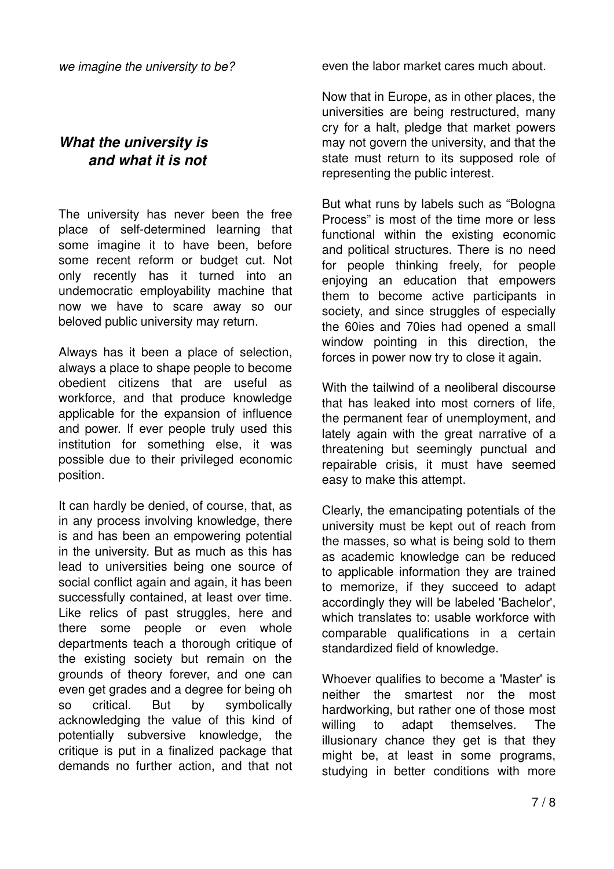### *What the university is and what it is not*

The university has never been the free place of self-determined learning that some imagine it to have been, before some recent reform or budget cut. Not only recently has it turned into an undemocratic employability machine that now we have to scare away so our beloved public university may return.

Always has it been a place of selection, always a place to shape people to become obedient citizens that are useful as workforce, and that produce knowledge applicable for the expansion of influence and power. If ever people truly used this institution for something else, it was possible due to their privileged economic position.

It can hardly be denied, of course, that, as in any process involving knowledge, there is and has been an empowering potential in the university. But as much as this has lead to universities being one source of social conflict again and again, it has been successfully contained, at least over time. Like relics of past struggles, here and there some people or even whole departments teach a thorough critique of the existing society but remain on the grounds of theory forever, and one can even get grades and a degree for being oh so critical. But by symbolically acknowledging the value of this kind of potentially subversive knowledge, the critique is put in a finalized package that demands no further action, and that not

even the labor market cares much about.

Now that in Europe, as in other places, the universities are being restructured, many cry for a halt, pledge that market powers may not govern the university, and that the state must return to its supposed role of representing the public interest.

But what runs by labels such as "Bologna Process" is most of the time more or less functional within the existing economic and political structures. There is no need for people thinking freely, for people enjoying an education that empowers them to become active participants in society, and since struggles of especially the 60ies and 70ies had opened a small window pointing in this direction, the forces in power now try to close it again.

With the tailwind of a neoliberal discourse that has leaked into most corners of life, the permanent fear of unemployment, and lately again with the great narrative of a threatening but seemingly punctual and repairable crisis, it must have seemed easy to make this attempt.

Clearly, the emancipating potentials of the university must be kept out of reach from the masses, so what is being sold to them as academic knowledge can be reduced to applicable information they are trained to memorize, if they succeed to adapt accordingly they will be labeled 'Bachelor', which translates to: usable workforce with comparable qualifications in a certain standardized field of knowledge.

Whoever qualifies to become a 'Master' is neither the smartest nor the most hardworking, but rather one of those most willing to adapt themselves. The illusionary chance they get is that they might be, at least in some programs, studying in better conditions with more